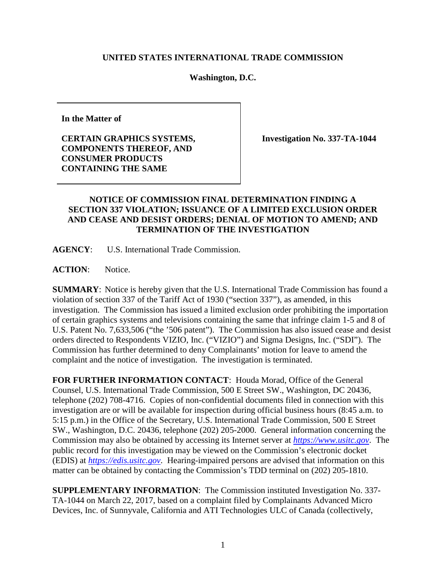## **UNITED STATES INTERNATIONAL TRADE COMMISSION**

## **Washington, D.C.**

**In the Matter of**

**CERTAIN GRAPHICS SYSTEMS, COMPONENTS THEREOF, AND CONSUMER PRODUCTS CONTAINING THE SAME**

**Investigation No. 337-TA-1044**

## **NOTICE OF COMMISSION FINAL DETERMINATION FINDING A SECTION 337 VIOLATION; ISSUANCE OF A LIMITED EXCLUSION ORDER AND CEASE AND DESIST ORDERS; DENIAL OF MOTION TO AMEND; AND TERMINATION OF THE INVESTIGATION**

**AGENCY**: U.S. International Trade Commission.

ACTION: Notice.

**SUMMARY**: Notice is hereby given that the U.S. International Trade Commission has found a violation of section 337 of the Tariff Act of 1930 ("section 337"), as amended, in this investigation. The Commission has issued a limited exclusion order prohibiting the importation of certain graphics systems and televisions containing the same that infringe claim 1-5 and 8 of U.S. Patent No. 7,633,506 ("the '506 patent"). The Commission has also issued cease and desist orders directed to Respondents VIZIO, Inc. ("VIZIO") and Sigma Designs, Inc. ("SDI"). The Commission has further determined to deny Complainants' motion for leave to amend the complaint and the notice of investigation. The investigation is terminated.

**FOR FURTHER INFORMATION CONTACT**: Houda Morad, Office of the General Counsel, U.S. International Trade Commission, 500 E Street SW., Washington, DC 20436, telephone (202) 708-4716. Copies of non-confidential documents filed in connection with this investigation are or will be available for inspection during official business hours (8:45 a.m. to 5:15 p.m.) in the Office of the Secretary, U.S. International Trade Commission, 500 E Street SW., Washington, D.C. 20436, telephone (202) 205-2000. General information concerning the Commission may also be obtained by accessing its Internet server at *[https://www.usitc.gov](https://www.usitc.gov/)*. The public record for this investigation may be viewed on the Commission's electronic docket (EDIS) at *[https://edis.usitc.gov](http://edis.usitc.gov/)*. Hearing-impaired persons are advised that information on this matter can be obtained by contacting the Commission's TDD terminal on (202) 205-1810.

**SUPPLEMENTARY INFORMATION**: The Commission instituted Investigation No. 337- TA-1044 on March 22, 2017, based on a complaint filed by Complainants Advanced Micro Devices, Inc. of Sunnyvale, California and ATI Technologies ULC of Canada (collectively,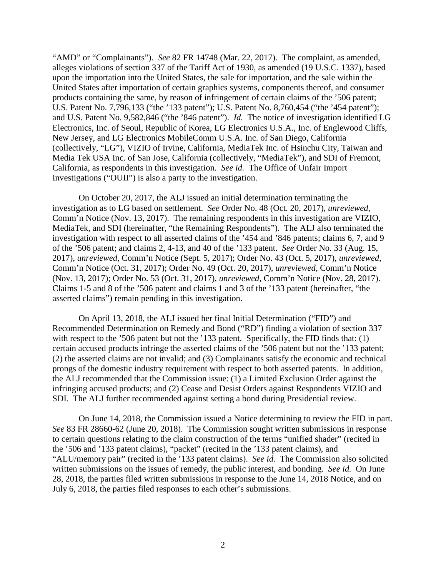"AMD" or "Complainants"). *See* 82 FR 14748 (Mar. 22, 2017). The complaint, as amended, alleges violations of section 337 of the Tariff Act of 1930, as amended (19 U.S.C. 1337), based upon the importation into the United States, the sale for importation, and the sale within the United States after importation of certain graphics systems, components thereof, and consumer products containing the same, by reason of infringement of certain claims of the '506 patent; U.S. Patent No. 7,796,133 ("the '133 patent"); U.S. Patent No. 8,760,454 ("the '454 patent"); and U.S. Patent No. 9,582,846 ("the '846 patent"). *Id.* The notice of investigation identified LG Electronics, Inc. of Seoul, Republic of Korea, LG Electronics U.S.A., Inc. of Englewood Cliffs, New Jersey, and LG Electronics MobileComm U.S.A. Inc. of San Diego, California (collectively, "LG"), VIZIO of Irvine, California, MediaTek Inc. of Hsinchu City, Taiwan and Media Tek USA Inc. of San Jose, California (collectively, "MediaTek"), and SDI of Fremont, California, as respondents in this investigation. *See id.* The Office of Unfair Import Investigations ("OUII") is also a party to the investigation.

On October 20, 2017, the ALJ issued an initial determination terminating the investigation as to LG based on settlement. *See* Order No. 48 (Oct. 20, 2017), *unreviewed*, Comm'n Notice (Nov. 13, 2017). The remaining respondents in this investigation are VIZIO, MediaTek, and SDI (hereinafter, "the Remaining Respondents"). The ALJ also terminated the investigation with respect to all asserted claims of the '454 and '846 patents; claims 6, 7, and 9 of the '506 patent; and claims 2, 4-13, and 40 of the '133 patent. *See* Order No. 33 (Aug. 15, 2017), *unreviewed*, Comm'n Notice (Sept. 5, 2017); Order No. 43 (Oct. 5, 2017), *unreviewed*, Comm'n Notice (Oct. 31, 2017); Order No. 49 (Oct. 20, 2017), *unreviewed*, Comm'n Notice (Nov. 13, 2017); Order No. 53 (Oct. 31, 2017), *unreviewed*, Comm'n Notice (Nov. 28, 2017). Claims 1-5 and 8 of the '506 patent and claims 1 and 3 of the '133 patent (hereinafter, "the asserted claims") remain pending in this investigation.

On April 13, 2018, the ALJ issued her final Initial Determination ("FID") and Recommended Determination on Remedy and Bond ("RD") finding a violation of section 337 with respect to the '506 patent but not the '133 patent. Specifically, the FID finds that: (1) certain accused products infringe the asserted claims of the '506 patent but not the '133 patent; (2) the asserted claims are not invalid; and (3) Complainants satisfy the economic and technical prongs of the domestic industry requirement with respect to both asserted patents. In addition, the ALJ recommended that the Commission issue: (1) a Limited Exclusion Order against the infringing accused products; and (2) Cease and Desist Orders against Respondents VIZIO and SDI. The ALJ further recommended against setting a bond during Presidential review.

On June 14, 2018, the Commission issued a Notice determining to review the FID in part. *See* 83 FR 28660-62 (June 20, 2018). The Commission sought written submissions in response to certain questions relating to the claim construction of the terms "unified shader" (recited in the '506 and '133 patent claims), "packet" (recited in the '133 patent claims), and "ALU/memory pair" (recited in the '133 patent claims). *See id.* The Commission also solicited written submissions on the issues of remedy, the public interest, and bonding. *See id.* On June 28, 2018, the parties filed written submissions in response to the June 14, 2018 Notice, and on July 6, 2018, the parties filed responses to each other's submissions.